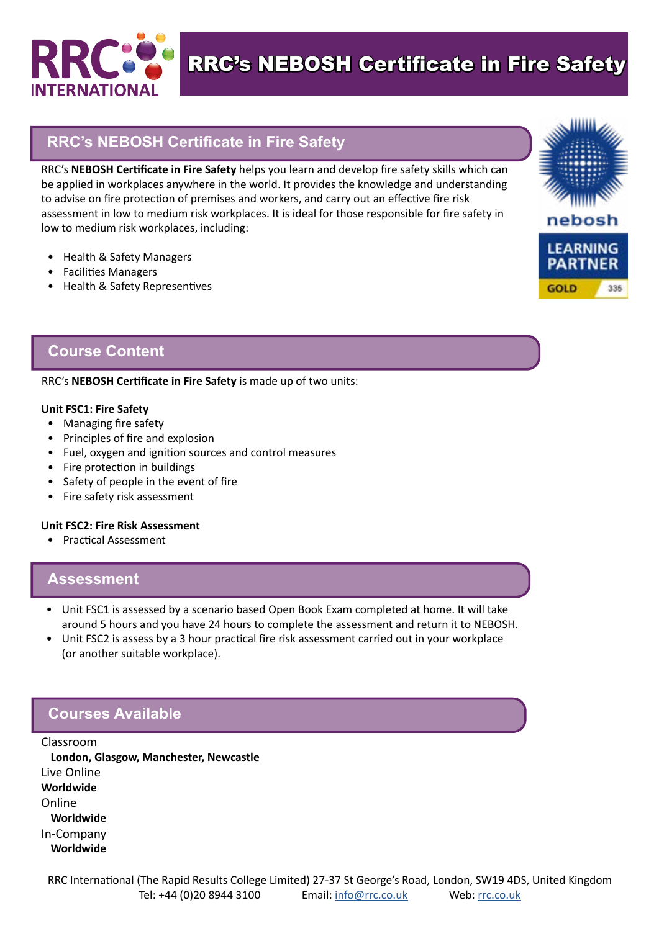

RRC's NEBOSH Certificate in Fire Safety

## **RRC's NEBOSH Certificate in Fire Safety**

RRC's **NEBOSH Certificate in Fire Safety** helps you learn and develop fire safety skills which can be applied in workplaces anywhere in the world. It provides the knowledge and understanding to advise on fire protection of premises and workers, and carry out an effective fire risk assessment in low to medium risk workplaces. It is ideal for those responsible for fire safety in low to medium risk workplaces, including:

- Health & Safety Managers
- Facilities Managers
- Health & Safety Representives



### **Course Content**

#### RRC's **NEBOSH Certificate in Fire Safety** is made up of two units:

#### **Unit FSC1: Fire Safety**

- Managing fire safety
- Principles of fire and explosion
- Fuel, oxygen and ignition sources and control measures
- Fire protection in buildings
- Safety of people in the event of fire
- Fire safety risk assessment

#### **Unit FSC2: Fire Risk Assessment**

• Practical Assessment

#### **Assessment**

- Unit FSC1 is assessed by a scenario based Open Book Exam completed at home. It will take around 5 hours and you have 24 hours to complete the assessment and return it to NEBOSH.
- Unit FSC2 is assess by a 3 hour practical fire risk assessment carried out in your workplace (or another suitable workplace).

## **Courses Available**

Classroom **London, Glasgow, Manchester, Newcastle** Live Online **Worldwide**  Online **Worldwide** In-Company **Worldwide**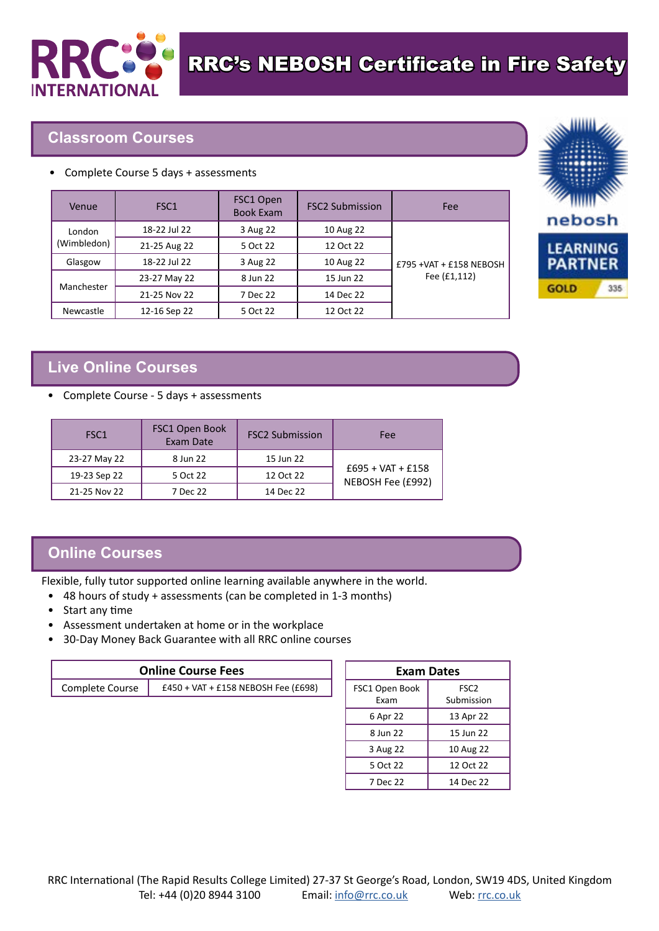

## **Classroom Courses**

• Complete Course 5 days + assessments

| Venue                 | FSC <sub>1</sub> | FSC1 Open<br><b>Book Exam</b> | <b>FSC2 Submission</b> | Fee                                        |
|-----------------------|------------------|-------------------------------|------------------------|--------------------------------------------|
| London<br>(Wimbledon) | 18-22 Jul 22     | 3 Aug 22                      | 10 Aug 22              | $£795 + VAT + £158 NEBOSH$<br>Fee (£1,112) |
|                       | 21-25 Aug 22     | 5 Oct 22                      | 12 Oct 22              |                                            |
| Glasgow               | 18-22 Jul 22     | 3 Aug 22                      | 10 Aug 22              |                                            |
| Manchester            | 23-27 May 22     | 8 Jun 22                      | 15 Jun 22              |                                            |
|                       | 21-25 Nov 22     | 7 Dec 22                      | 14 Dec 22              |                                            |
| Newcastle             | 12-16 Sep 22     | 5 Oct 22                      | 12 Oct 22              |                                            |

# **Live Online Courses**

• Complete Course - 5 days + assessments

| FSC <sub>1</sub> | FSC1 Open Book<br>Exam Date | <b>FSC2 Submission</b> | Fee                                      |
|------------------|-----------------------------|------------------------|------------------------------------------|
| 23-27 May 22     | 8 Jun 22                    | 15 Jun 22              |                                          |
| 19-23 Sep 22     | 5 Oct 22                    | 12 Oct 22              | $£695 + VAT + £158$<br>NEBOSH Fee (£992) |
| 21-25 Nov 22     | 7 Dec 22                    | 14 Dec 22              |                                          |

## **Online Courses**

Flexible, fully tutor supported online learning available anywhere in the world.

- 48 hours of study + assessments (can be completed in 1-3 months)
- Start any time
- Assessment undertaken at home or in the workplace
- 30-Day Money Back Guarantee with all RRC online courses

| <b>Online Course Fees</b> |                                     |  |
|---------------------------|-------------------------------------|--|
| Complete Course           | £450 + VAT + £158 NEBOSH Fee (£698) |  |

| <b>Exam Dates</b>      |                                |  |  |  |
|------------------------|--------------------------------|--|--|--|
| FSC1 Open Book<br>Fxam | FSC <sub>2</sub><br>Submission |  |  |  |
| 6 Apr 22               | 13 Apr 22                      |  |  |  |
| 8 Jun 22               | 15 Jun 22                      |  |  |  |
| 3 Aug 22               | 10 Aug 22                      |  |  |  |
| 5 Oct 22               | 12 Oct 22                      |  |  |  |
| 7 Dec 22               | 14 Dec 22                      |  |  |  |